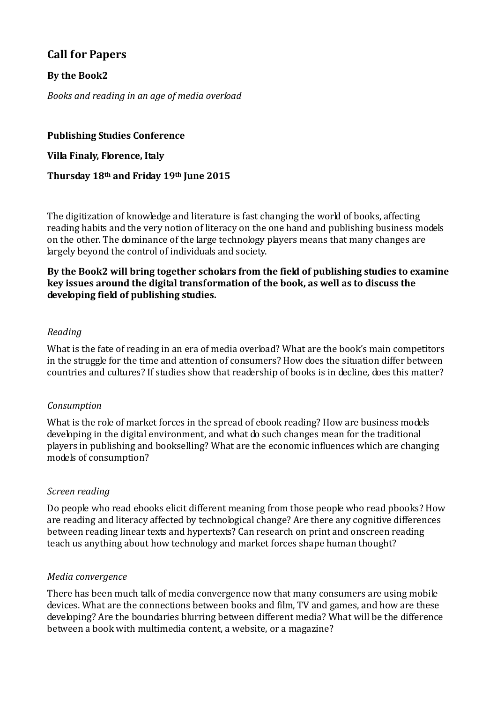# **Call for Papers**

# **By the Book2**

*Books and reading in an age of media overload*

**Publishing Studies Conference Villa Finaly, Florence, Italy Thursday 18th and Friday 19th June 2015**

The digitization of knowledge and literature is fast changing the world of books, affecting reading habits and the very notion of literacy on the one hand and publishing business models on the other. The dominance of the large technology players means that many changes are largely beyond the control of individuals and society.

## **By the Book2 will bring together scholars from the field of publishing studies to examine key issues around the digital transformation of the book, as well as to discuss the developing field of publishing studies.**

## *Reading*

What is the fate of reading in an era of media overload? What are the book's main competitors in the struggle for the time and attention of consumers? How does the situation differ between countries and cultures? If studies show that readership of books is in decline, does this matter?

### *Consumption*

What is the role of market forces in the spread of ebook reading? How are business models developing in the digital environment, and what do such changes mean for the traditional players in publishing and bookselling? What are the economic influences which are changing models of consumption?

### *Screen reading*

Do people who read ebooks elicit different meaning from those people who read pbooks? How are reading and literacy affected by technological change? Are there any cognitive differences between reading linear texts and hypertexts? Can research on print and onscreen reading teach us anything about how technology and market forces shape human thought?

### *Media convergence*

There has been much talk of media convergence now that many consumers are using mobile devices. What are the connections between books and film, TV and games, and how are these developing? Are the boundaries blurring between different media? What will be the difference between a book with multimedia content, a website, or a magazine?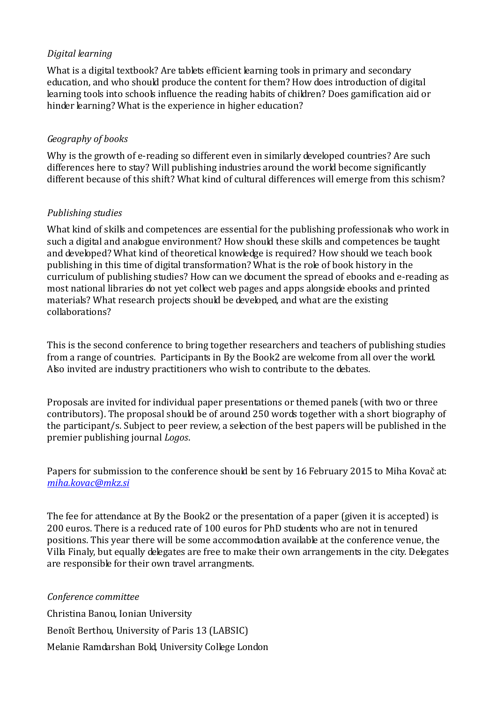## *Digital learning*

What is a digital textbook? Are tablets efficient learning tools in primary and secondary education, and who should produce the content for them? How does introduction of digital learning tools into schools influence the reading habits of children? Does gamification aid or hinder learning? What is the experience in higher education?

## *Geography of books*

Why is the growth of e-reading so different even in similarly developed countries? Are such differences here to stay? Will publishing industries around the world become significantly different because of this shift? What kind of cultural differences will emerge from this schism?

## *Publishing studies*

What kind of skills and competences are essential for the publishing professionals who work in such a digital and analogue environment? How should these skills and competences be taught and developed? What kind of theoretical knowledge is required? How should we teach book publishing in this time of digital transformation? What is the role of book history in the curriculum of publishing studies? How can we document the spread of ebooks and e-reading as most national libraries do not yet collect web pages and apps alongside ebooks and printed materials? What research projects should be developed, and what are the existing collaborations?

This is the second conference to bring together researchers and teachers of publishing studies from a range of countries. Participants in By the Book2 are welcome from all over the world. Also invited are industry practitioners who wish to contribute to the debates.

Proposals are invited for individual paper presentations or themed panels (with two or three contributors). The proposal should be of around 250 words together with a short biography of the participant/s. Subject to peer review, a selection of the best papers will be published in the premier publishing journal *Logos*.

Papers for submission to the conference should be sent by 16 February 2015 to Miha Kovač at: *[miha.kovac@mkz.si](mailto:miha.kovac@mkz.si)*

The fee for attendance at By the Book2 or the presentation of a paper (given it is accepted) is 200 euros. There is a reduced rate of 100 euros for PhD students who are not in tenured positions. This year there will be some accommodation available at the conference venue, the Villa Finaly, but equally delegates are free to make their own arrangements in the city. Delegates are responsible for their own travel arrangments.

*Conference committee* Christina Banou, Ionian University Benoît Berthou, University of Paris 13 (LABSIC) Melanie Ramdarshan Bold, University College London